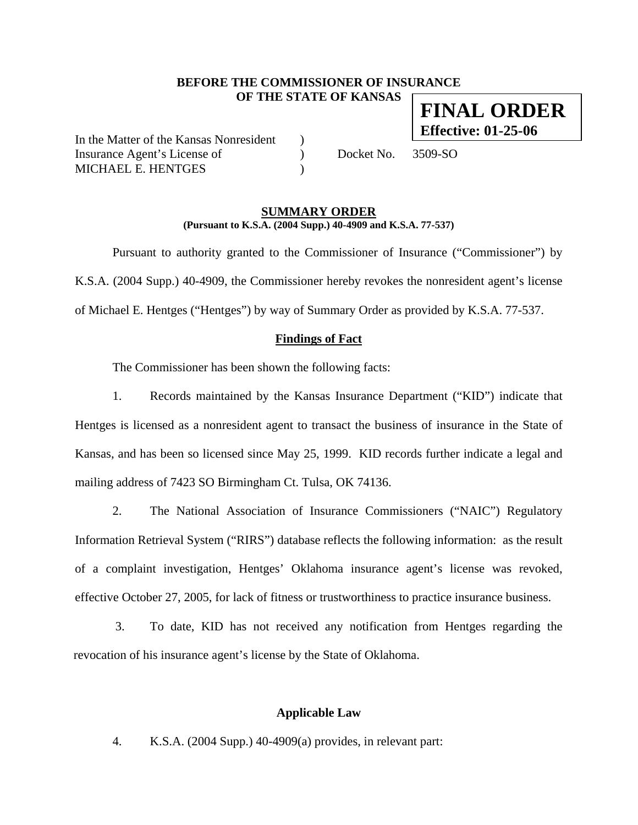## **BEFORE THE COMMISSIONER OF INSURANCE OF THE STATE OF KANSAS**

In the Matter of the Kansas Nonresident ) Insurance Agent's License of  $Docket No. 3509-SO$ MICHAEL E. HENTGES

### **SUMMARY ORDER (Pursuant to K.S.A. (2004 Supp.) 40-4909 and K.S.A. 77-537)**

 Pursuant to authority granted to the Commissioner of Insurance ("Commissioner") by K.S.A. (2004 Supp.) 40-4909, the Commissioner hereby revokes the nonresident agent's license of Michael E. Hentges ("Hentges") by way of Summary Order as provided by K.S.A. 77-537.

## **Findings of Fact**

The Commissioner has been shown the following facts:

1. Records maintained by the Kansas Insurance Department ("KID") indicate that Hentges is licensed as a nonresident agent to transact the business of insurance in the State of Kansas, and has been so licensed since May 25, 1999. KID records further indicate a legal and mailing address of 7423 SO Birmingham Ct. Tulsa, OK 74136.

2. The National Association of Insurance Commissioners ("NAIC") Regulatory Information Retrieval System ("RIRS") database reflects the following information: as the result of a complaint investigation, Hentges' Oklahoma insurance agent's license was revoked, effective October 27, 2005, for lack of fitness or trustworthiness to practice insurance business.

3. To date, KID has not received any notification from Hentges regarding the revocation of his insurance agent's license by the State of Oklahoma.

### **Applicable Law**

4. K.S.A. (2004 Supp.) 40-4909(a) provides, in relevant part:

**FINAL ORDER Effective: 01-25-06**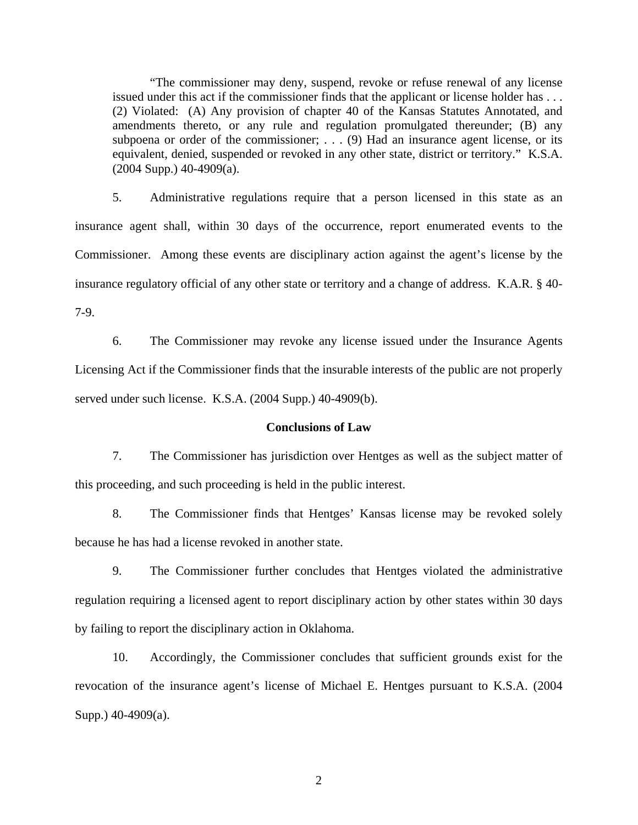"The commissioner may deny, suspend, revoke or refuse renewal of any license issued under this act if the commissioner finds that the applicant or license holder has . . . (2) Violated: (A) Any provision of chapter 40 of the Kansas Statutes Annotated, and amendments thereto, or any rule and regulation promulgated thereunder; (B) any subpoena or order of the commissioner; . . . (9) Had an insurance agent license, or its equivalent, denied, suspended or revoked in any other state, district or territory." K.S.A.  $(2004 \text{ Supp.}) 40-4909(a)$ .

5. Administrative regulations require that a person licensed in this state as an insurance agent shall, within 30 days of the occurrence, report enumerated events to the Commissioner. Among these events are disciplinary action against the agent's license by the insurance regulatory official of any other state or territory and a change of address. K.A.R. § 40- 7-9.

6. The Commissioner may revoke any license issued under the Insurance Agents Licensing Act if the Commissioner finds that the insurable interests of the public are not properly served under such license. K.S.A. (2004 Supp.) 40-4909(b).

#### **Conclusions of Law**

7. The Commissioner has jurisdiction over Hentges as well as the subject matter of this proceeding, and such proceeding is held in the public interest.

8. The Commissioner finds that Hentges' Kansas license may be revoked solely because he has had a license revoked in another state.

9. The Commissioner further concludes that Hentges violated the administrative regulation requiring a licensed agent to report disciplinary action by other states within 30 days by failing to report the disciplinary action in Oklahoma.

10. Accordingly, the Commissioner concludes that sufficient grounds exist for the revocation of the insurance agent's license of Michael E. Hentges pursuant to K.S.A. (2004 Supp.) 40-4909(a).

2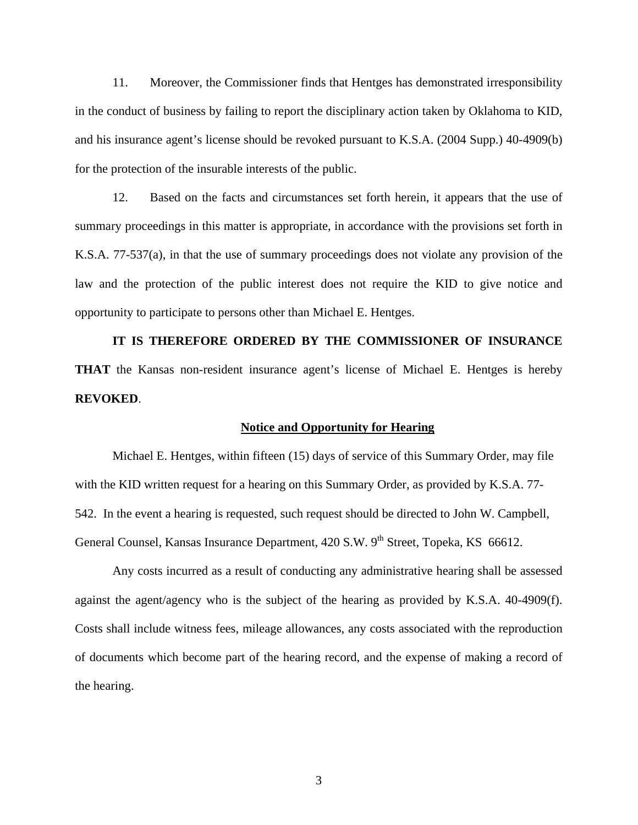11. Moreover, the Commissioner finds that Hentges has demonstrated irresponsibility in the conduct of business by failing to report the disciplinary action taken by Oklahoma to KID, and his insurance agent's license should be revoked pursuant to K.S.A. (2004 Supp.) 40-4909(b) for the protection of the insurable interests of the public.

12. Based on the facts and circumstances set forth herein, it appears that the use of summary proceedings in this matter is appropriate, in accordance with the provisions set forth in K.S.A. 77-537(a), in that the use of summary proceedings does not violate any provision of the law and the protection of the public interest does not require the KID to give notice and opportunity to participate to persons other than Michael E. Hentges.

**IT IS THEREFORE ORDERED BY THE COMMISSIONER OF INSURANCE THAT** the Kansas non-resident insurance agent's license of Michael E. Hentges is hereby **REVOKED**.

#### **Notice and Opportunity for Hearing**

Michael E. Hentges, within fifteen (15) days of service of this Summary Order, may file with the KID written request for a hearing on this Summary Order, as provided by K.S.A. 77- 542. In the event a hearing is requested, such request should be directed to John W. Campbell, General Counsel, Kansas Insurance Department, 420 S.W. 9<sup>th</sup> Street, Topeka, KS 66612.

 Any costs incurred as a result of conducting any administrative hearing shall be assessed against the agent/agency who is the subject of the hearing as provided by K.S.A. 40-4909(f). Costs shall include witness fees, mileage allowances, any costs associated with the reproduction of documents which become part of the hearing record, and the expense of making a record of the hearing.